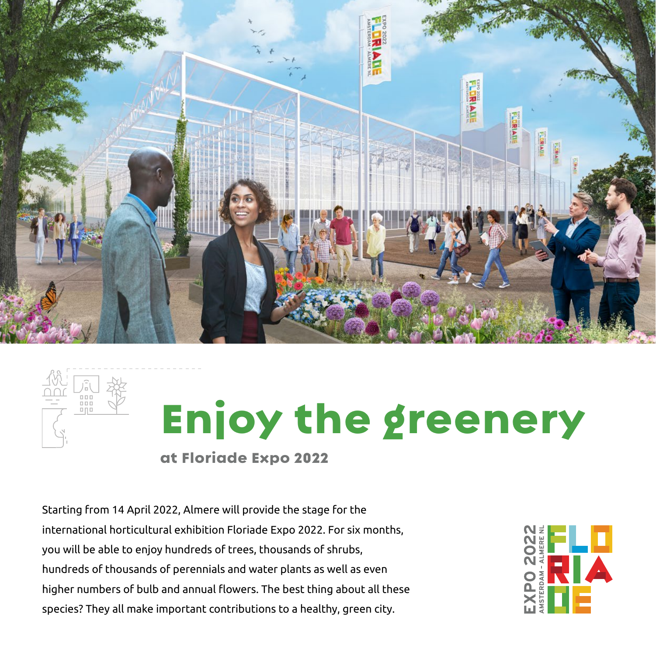



# Enjoy the greenery

at Floriade Expo 2022

Starting from 14 April 2022, Almere will provide the stage for the international horticultural exhibition Floriade Expo 2022. For six months, you will be able to enjoy hundreds of trees, thousands of shrubs, hundreds of thousands of perennials and water plants as well as even higher numbers of bulb and annual flowers. The best thing about all these species? They all make important contributions to a healthy, green city.

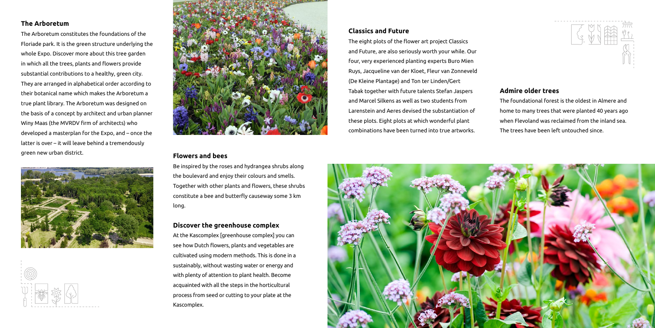#### **The Arboretum**

The Arboretum constitutes the foundations of the Floriade park. It is the green structure underlying the whole Expo. Discover more about this tree garden in which all the trees, plants and flowers provide substantial contributions to a healthy, green city. They are arranged in alphabetical order according to their botanical name which makes the Arboretum a true plant library. The Arboretum was designed on the basis of a concept by architect and urban planner Winy Maas (the MVRDV firm of architects) who developed a masterplan for the Expo, and – once the latter is over – it will leave behind a tremendously green new urban district.







#### **Admire older trees**

The foundational forest is the oldest in Almere and home to many trees that were planted 40 years ago when Flevoland was reclaimed from the inland sea. The trees have been left untouched since.

#### **Flowers and bees**

Be inspired by the roses and hydrangea shrubs along the boulevard and enjoy their colours and smells. Together with other plants and flowers, these shrubs constitute a bee and butterfly causeway some 3 km long.

#### **Discover the greenhouse complex**

At the Kascomplex [greenhouse complex] you can see how Dutch flowers, plants and vegetables are cultivated using modern methods. This is done in a sustainably, without wasting water or energy and with plenty of attention to plant health. Become acquainted with all the steps in the horticultural process from seed or cutting to your plate at the Kascomplex.

#### **Classics and Future**

The eight plots of the flower art project Classics and Future, are also seriously worth your while. Our four, very experienced planting experts Buro Mien Ruys, Jacqueline van der Kloet, Fleur van Zonneveld (De Kleine Plantage) and Ton ter Linden/Gert Tabak together with future talents Stefan Jaspers and Marcel Silkens as well as two students from Larenstein and Aeres devised the substantiation of these plots. Eight plots at which wonderful plant combinations have been turned into true artworks.